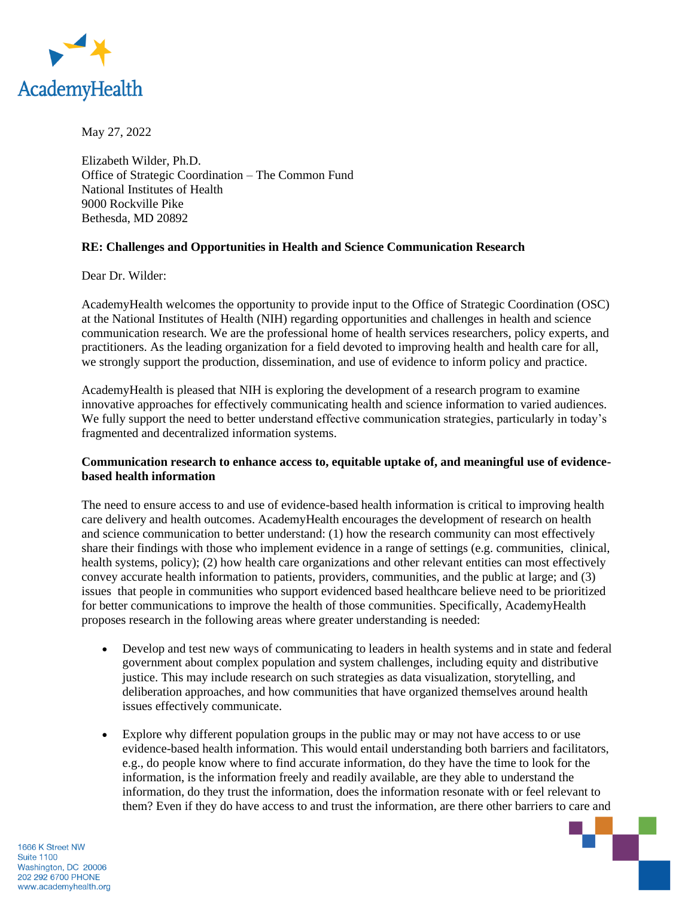

May 27, 2022

Elizabeth Wilder, Ph.D. Office of Strategic Coordination – The Common Fund National Institutes of Health 9000 Rockville Pike Bethesda, MD 20892

## **RE: Challenges and Opportunities in Health and Science Communication Research**

Dear Dr. Wilder:

AcademyHealth welcomes the opportunity to provide input to the Office of Strategic Coordination (OSC) at the National Institutes of Health (NIH) regarding opportunities and challenges in health and science communication research. We are the professional home of health services researchers, policy experts, and practitioners. As the leading organization for a field devoted to improving health and health care for all, we strongly support the production, dissemination, and use of evidence to inform policy and practice.

AcademyHealth is pleased that NIH is exploring the development of a research program to examine innovative approaches for effectively communicating health and science information to varied audiences. We fully support the need to better understand effective communication strategies, particularly in today's fragmented and decentralized information systems.

## **Communication research to enhance access to, equitable uptake of, and meaningful use of evidencebased health information**

The need to ensure access to and use of evidence-based health information is critical to improving health care delivery and health outcomes. AcademyHealth encourages the development of research on health and science communication to better understand: (1) how the research community can most effectively share their findings with those who implement evidence in a range of settings (e.g. communities, clinical, health systems, policy); (2) how health care organizations and other relevant entities can most effectively convey accurate health information to patients, providers, communities, and the public at large; and (3) issues that people in communities who support evidenced based healthcare believe need to be prioritized for better communications to improve the health of those communities. Specifically, AcademyHealth proposes research in the following areas where greater understanding is needed:

- Develop and test new ways of communicating to leaders in health systems and in state and federal government about complex population and system challenges, including equity and distributive justice. This may include research on such strategies as data visualization, storytelling, and deliberation approaches, and how communities that have organized themselves around health issues effectively communicate.
- Explore why different population groups in the public may or may not have access to or use evidence-based health information. This would entail understanding both barriers and facilitators, e.g., do people know where to find accurate information, do they have the time to look for the information, is the information freely and readily available, are they able to understand the information, do they trust the information, does the information resonate with or feel relevant to them? Even if they do have access to and trust the information, are there other barriers to care and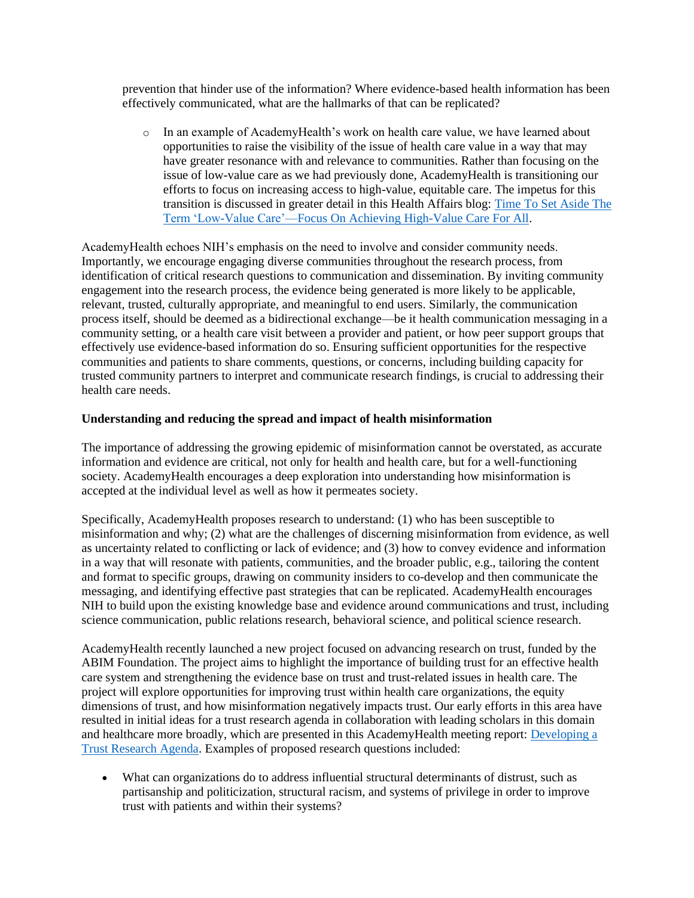prevention that hinder use of the information? Where evidence-based health information has been effectively communicated, what are the hallmarks of that can be replicated?

o In an example of AcademyHealth's work on health care value, we have learned about opportunities to raise the visibility of the issue of health care value in a way that may have greater resonance with and relevance to communities. Rather than focusing on the issue of low-value care as we had previously done, AcademyHealth is transitioning our efforts to focus on increasing access to high-value, equitable care. The impetus for this transition is discussed in greater detail in this Health Affairs blog: [Time To Set Aside The](https://www.healthaffairs.org/do/10.1377/forefront.20210518.804037)  [Term 'Low-Value Care'—Focus On Achieving High-Value Care For All.](https://www.healthaffairs.org/do/10.1377/forefront.20210518.804037)

AcademyHealth echoes NIH's emphasis on the need to involve and consider community needs. Importantly, we encourage engaging diverse communities throughout the research process, from identification of critical research questions to communication and dissemination. By inviting community engagement into the research process, the evidence being generated is more likely to be applicable, relevant, trusted, culturally appropriate, and meaningful to end users. Similarly, the communication process itself, should be deemed as a bidirectional exchange—be it health communication messaging in a community setting, or a health care visit between a provider and patient, or how peer support groups that effectively use evidence-based information do so. Ensuring sufficient opportunities for the respective communities and patients to share comments, questions, or concerns, including building capacity for trusted community partners to interpret and communicate research findings, is crucial to addressing their health care needs.

## **Understanding and reducing the spread and impact of health misinformation**

The importance of addressing the growing epidemic of misinformation cannot be overstated, as accurate information and evidence are critical, not only for health and health care, but for a well-functioning society. AcademyHealth encourages a deep exploration into understanding how misinformation is accepted at the individual level as well as how it permeates society.

Specifically, AcademyHealth proposes research to understand: (1) who has been susceptible to misinformation and why; (2) what are the challenges of discerning misinformation from evidence, as well as uncertainty related to conflicting or lack of evidence; and (3) how to convey evidence and information in a way that will resonate with patients, communities, and the broader public, e.g., tailoring the content and format to specific groups, drawing on community insiders to co-develop and then communicate the messaging, and identifying effective past strategies that can be replicated. AcademyHealth encourages NIH to build upon the existing knowledge base and evidence around communications and trust, including science communication, public relations research, behavioral science, and political science research.

AcademyHealth recently launched a new project focused on advancing research on trust, funded by the ABIM Foundation. The project aims to highlight the importance of building trust for an effective health care system and strengthening the evidence base on trust and trust-related issues in health care. The project will explore opportunities for improving trust within health care organizations, the equity dimensions of trust, and how misinformation negatively impacts trust. Our early efforts in this area have resulted in initial ideas for a trust research agenda in collaboration with leading scholars in this domain and healthcare more broadly, which are presented in this AcademyHealth meeting report: [Developing a](https://academyhealth.org/publications/2021-07/experts-outline-priorities-trust-research)  [Trust Research Agenda.](https://academyhealth.org/publications/2021-07/experts-outline-priorities-trust-research) Examples of proposed research questions included:

• What can organizations do to address influential structural determinants of distrust, such as partisanship and politicization, structural racism, and systems of privilege in order to improve trust with patients and within their systems?